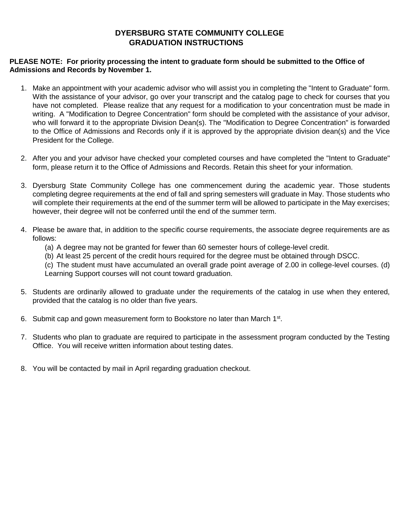## **DYERSBURG STATE COMMUNITY COLLEGE GRADUATION INSTRUCTIONS**

## **PLEASE NOTE: For priority processing the intent to graduate form should be submitted to the Office of Admissions and Records by November 1.**

- 1. Make an appointment with your academic advisor who will assist you in completing the "Intent to Graduate" form. With the assistance of your advisor, go over your transcript and the catalog page to check for courses that you have not completed. Please realize that any request for a modification to your concentration must be made in writing. A "Modification to Degree Concentration" form should be completed with the assistance of your advisor, who will forward it to the appropriate Division Dean(s). The "Modification to Degree Concentration" is forwarded to the Office of Admissions and Records only if it is approved by the appropriate division dean(s) and the Vice President for the College.
- 2. After you and your advisor have checked your completed courses and have completed the "Intent to Graduate" form, please return it to the Office of Admissions and Records. Retain this sheet for your information.
- 3. Dyersburg State Community College has one commencement during the academic year. Those students completing degree requirements at the end of fall and spring semesters will graduate in May. Those students who will complete their requirements at the end of the summer term will be allowed to participate in the May exercises; however, their degree will not be conferred until the end of the summer term.
- 4. Please be aware that, in addition to the specific course requirements, the associate degree requirements are as follows:
	- (a) A degree may not be granted for fewer than 60 semester hours of college-level credit.
	- (b) At least 25 percent of the credit hours required for the degree must be obtained through DSCC.

(c) The student must have accumulated an overall grade point average of 2.00 in college-level courses. (d) Learning Support courses will not count toward graduation.

- 5. Students are ordinarily allowed to graduate under the requirements of the catalog in use when they entered, provided that the catalog is no older than five years.
- 6. Submit cap and gown measurement form to Bookstore no later than March 1<sup>st</sup>.
- 7. Students who plan to graduate are required to participate in the assessment program conducted by the Testing Office. You will receive written information about testing dates.
- 8. You will be contacted by mail in April regarding graduation checkout.